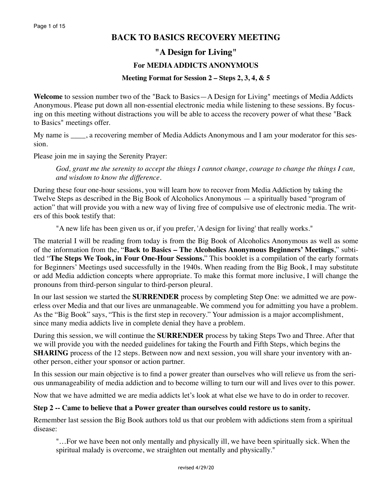# **BACK TO BASICS RECOVERY MEETING**

## **"A Design for Living"**

## **For MEDIA ADDICTS ANONYMOUS**

#### **Meeting Format for Session 2 – Steps 2, 3, 4, & 5**

**Welcome** to session number two of the "Back to Basics—A Design for Living" meetings of Media Addicts Anonymous. Please put down all non-essential electronic media while listening to these sessions. By focusing on this meeting without distractions you will be able to access the recovery power of what these "Back to Basics" meetings offer.

My name is \_\_\_\_, a recovering member of Media Addicts Anonymous and I am your moderator for this session.

Please join me in saying the Serenity Prayer:

*God, grant me the serenity to accept the things I cannot change, courage to change the things I can, and wisdom to know the difference.*

During these four one-hour sessions, you will learn how to recover from Media Addiction by taking the Twelve Steps as described in the Big Book of Alcoholics Anonymous — a spiritually based "program of action" that will provide you with a new way of living free of compulsive use of electronic media. The writers of this book testify that:

"A new life has been given us or, if you prefer, 'A design for living' that really works."

The material I will be reading from today is from the Big Book of Alcoholics Anonymous as well as some of the information from the, "**Back to Basics – The Alcoholics Anonymous Beginners' Meetings**," subtitled "**The Steps We Took, in Four One-Hour Sessions.**" This booklet is a compilation of the early formats for Beginners' Meetings used successfully in the 1940s. When reading from the Big Book, I may substitute or add Media addiction concepts where appropriate. To make this format more inclusive, I will change the pronouns from third-person singular to third-person pleural.

In our last session we started the **SURRENDER** process by completing Step One: we admitted we are powerless over Media and that our lives are unmanageable. We commend you for admitting you have a problem. As the "Big Book" says, "This is the first step in recovery." Your admission is a major accomplishment, since many media addicts live in complete denial they have a problem.

During this session, we will continue the **SURRENDER** process by taking Steps Two and Three. After that we will provide you with the needed guidelines for taking the Fourth and Fifth Steps, which begins the **SHARING** process of the 12 steps. Between now and next session, you will share your inventory with another person, either your sponsor or action partner.

In this session our main objective is to find a power greater than ourselves who will relieve us from the serious unmanageability of media addiction and to become willing to turn our will and lives over to this power.

Now that we have admitted we are media addicts let's look at what else we have to do in order to recover.

### **Step 2 -- Came to believe that a Power greater than ourselves could restore us to sanity.**

Remember last session the Big Book authors told us that our problem with addictions stem from a spiritual disease:

"…For we have been not only mentally and physically ill, we have been spiritually sick. When the spiritual malady is overcome, we straighten out mentally and physically."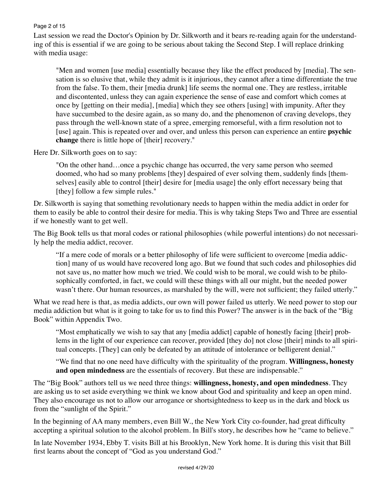### Page 2 of 15

Last session we read the Doctor's Opinion by Dr. Silkworth and it bears re-reading again for the understanding of this is essential if we are going to be serious about taking the Second Step. I will replace drinking with media usage:

"Men and women [use media] essentially because they like the effect produced by [media]. The sensation is so elusive that, while they admit is it injurious, they cannot after a time differentiate the true from the false. To them, their [media drunk] life seems the normal one. They are restless, irritable and discontented, unless they can again experience the sense of ease and comfort which comes at once by [getting on their media], [media] which they see others [using] with impunity. After they have succumbed to the desire again, as so many do, and the phenomenon of craving develops, they pass through the well-known state of a spree, emerging remorseful, with a firm resolution not to [use] again. This is repeated over and over, and unless this person can experience an entire **psychic change** there is little hope of [their] recovery."

Here Dr. Silkworth goes on to say:

"On the other hand…once a psychic change has occurred, the very same person who seemed doomed, who had so many problems [they] despaired of ever solving them, suddenly finds [themselves] easily able to control [their] desire for [media usage] the only effort necessary being that [they] follow a few simple rules."

Dr. Silkworth is saying that something revolutionary needs to happen within the media addict in order for them to easily be able to control their desire for media. This is why taking Steps Two and Three are essential if we honestly want to get well.

The Big Book tells us that moral codes or rational philosophies (while powerful intentions) do not necessarily help the media addict, recover.

"If a mere code of morals or a better philosophy of life were sufficient to overcome [media addiction] many of us would have recovered long ago. But we found that such codes and philosophies did not save us, no matter how much we tried. We could wish to be moral, we could wish to be philosophically comforted, in fact, we could will these things with all our might, but the needed power wasn't there. Our human resources, as marshaled by the will, were not sufficient; they failed utterly."

What we read here is that, as media addicts, our own will power failed us utterly. We need power to stop our media addiction but what is it going to take for us to find this Power? The answer is in the back of the "Big Book" within Appendix Two.

"Most emphatically we wish to say that any [media addict] capable of honestly facing [their] problems in the light of our experience can recover, provided [they do] not close [their] minds to all spiritual concepts. [They] can only be defeated by an attitude of intolerance or belligerent denial."

"We find that no one need have difficulty with the spirituality of the program. **Willingness, honesty and open mindedness** are the essentials of recovery. But these are indispensable."

The "Big Book" authors tell us we need three things: **willingness, honesty, and open mindedness**. They are asking us to set aside everything we think we know about God and spirituality and keep an open mind. They also encourage us not to allow our arrogance or shortsightedness to keep us in the dark and block us from the "sunlight of the Spirit."

In the beginning of AA many members, even Bill W., the New York City co-founder, had great difficulty accepting a spiritual solution to the alcohol problem. In Bill's story, he describes how he "came to believe."

In late November 1934, Ebby T. visits Bill at his Brooklyn, New York home. It is during this visit that Bill first learns about the concept of "God as you understand God."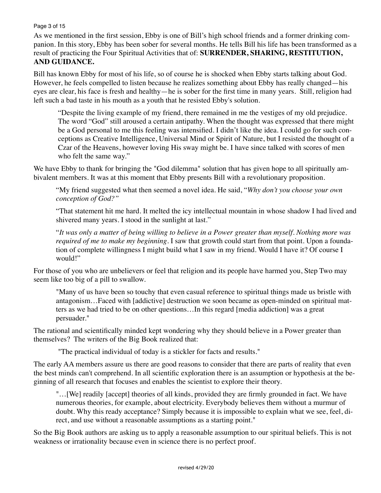### Page 3 of 15

As we mentioned in the first session, Ebby is one of Bill's high school friends and a former drinking companion. In this story, Ebby has been sober for several months. He tells Bill his life has been transformed as a result of practicing the Four Spiritual Activities that of: **SURRENDER, SHARING, RESTITUTION, AND GUIDANCE.** 

Bill has known Ebby for most of his life, so of course he is shocked when Ebby starts talking about God. However, he feels compelled to listen because he realizes something about Ebby has really changed—his eyes are clear, his face is fresh and healthy—he is sober for the first time in many years. Still, religion had left such a bad taste in his mouth as a youth that he resisted Ebby's solution.

"Despite the living example of my friend, there remained in me the vestiges of my old prejudice. The word "God" still aroused a certain antipathy. When the thought was expressed that there might be a God personal to me this feeling was intensified. I didn't like the idea. I could go for such conceptions as Creative Intelligence, Universal Mind or Spirit of Nature, but I resisted the thought of a Czar of the Heavens, however loving His sway might be. I have since talked with scores of men who felt the same way."

We have Ebby to thank for bringing the "God dilemma" solution that has given hope to all spiritually ambivalent members. It was at this moment that Ebby presents Bill with a revolutionary proposition.

"My friend suggested what then seemed a novel idea. He said, "*Why don't you choose your own conception of God?"* 

"That statement hit me hard. It melted the icy intellectual mountain in whose shadow I had lived and shivered many years. I stood in the sunlight at last."

"*It was only a matter of being willing to believe in a Power greater than myself. Nothing more was required of me to make my beginning.* I saw that growth could start from that point. Upon a foundation of complete willingness I might build what I saw in my friend. Would I have it? Of course I would!"

For those of you who are unbelievers or feel that religion and its people have harmed you, Step Two may seem like too big of a pill to swallow.

"Many of us have been so touchy that even casual reference to spiritual things made us bristle with antagonism…Faced with [addictive] destruction we soon became as open-minded on spiritual matters as we had tried to be on other questions…In this regard [media addiction] was a great persuader."

The rational and scientifically minded kept wondering why they should believe in a Power greater than themselves? The writers of the Big Book realized that:

"The practical individual of today is a stickler for facts and results."

The early AA members assure us there are good reasons to consider that there are parts of reality that even the best minds can't comprehend. In all scientific exploration there is an assumption or hypothesis at the beginning of all research that focuses and enables the scientist to explore their theory.

"…[We] readily [accept] theories of all kinds, provided they are firmly grounded in fact. We have numerous theories, for example, about electricity. Everybody believes them without a murmur of doubt. Why this ready acceptance? Simply because it is impossible to explain what we see, feel, direct, and use without a reasonable assumptions as a starting point."

So the Big Book authors are asking us to apply a reasonable assumption to our spiritual beliefs. This is not weakness or irrationality because even in science there is no perfect proof.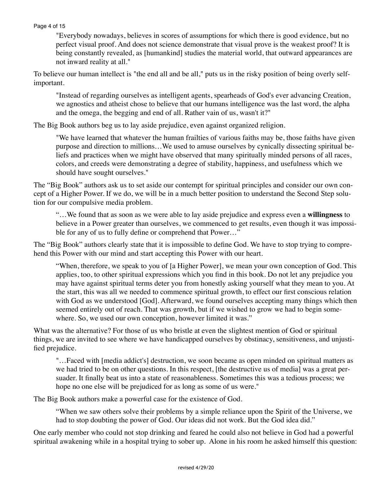#### Page 4 of 15

"Everybody nowadays, believes in scores of assumptions for which there is good evidence, but no perfect visual proof. And does not science demonstrate that visual prove is the weakest proof? It is being constantly revealed, as [humankind] studies the material world, that outward appearances are not inward reality at all."

To believe our human intellect is "the end all and be all," puts us in the risky position of being overly selfimportant.

"Instead of regarding ourselves as intelligent agents, spearheads of God's ever advancing Creation, we agnostics and atheist chose to believe that our humans intelligence was the last word, the alpha and the omega, the begging and end of all. Rather vain of us, wasn't it?"

The Big Book authors beg us to lay aside prejudice, even against organized religion.

"We have learned that whatever the human frailties of various faiths may be, those faiths have given purpose and direction to millions…We used to amuse ourselves by cynically dissecting spiritual beliefs and practices when we might have observed that many spiritually minded persons of all races, colors, and creeds were demonstrating a degree of stability, happiness, and usefulness which we should have sought ourselves."

The "Big Book" authors ask us to set aside our contempt for spiritual principles and consider our own concept of a Higher Power. If we do, we will be in a much better position to understand the Second Step solution for our compulsive media problem.

"…We found that as soon as we were able to lay aside prejudice and express even a **willingness** to believe in a Power greater than ourselves, we commenced to get results, even though it was impossible for any of us to fully define or comprehend that Power…"

The "Big Book" authors clearly state that it is impossible to define God. We have to stop trying to comprehend this Power with our mind and start accepting this Power with our heart.

"When, therefore, we speak to you of [a Higher Power], we mean your own conception of God. This applies, too, to other spiritual expressions which you find in this book. Do not let any prejudice you may have against spiritual terms deter you from honestly asking yourself what they mean to you. At the start, this was all we needed to commence spiritual growth, to effect our first conscious relation with God as we understood [God]. Afterward, we found ourselves accepting many things which then seemed entirely out of reach. That was growth, but if we wished to grow we had to begin somewhere. So, we used our own conception, however limited it was."

What was the alternative? For those of us who bristle at even the slightest mention of God or spiritual things, we are invited to see where we have handicapped ourselves by obstinacy, sensitiveness, and unjustified prejudice.

"…Faced with [media addict's] destruction, we soon became as open minded on spiritual matters as we had tried to be on other questions. In this respect, [the destructive us of media] was a great persuader. It finally beat us into a state of reasonableness. Sometimes this was a tedious process; we hope no one else will be prejudiced for as long as some of us were."

The Big Book authors make a powerful case for the existence of God.

"When we saw others solve their problems by a simple reliance upon the Spirit of the Universe, we had to stop doubting the power of God. Our ideas did not work. But the God idea did."

One early member who could not stop drinking and feared he could also not believe in God had a powerful spiritual awakening while in a hospital trying to sober up. Alone in his room he asked himself this question: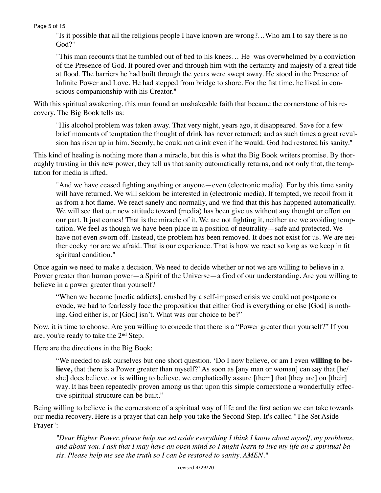Page 5 of 15

"Is it possible that all the religious people I have known are wrong?…Who am I to say there is no God?"

"This man recounts that he tumbled out of bed to his knees… He was overwhelmed by a conviction of the Presence of God. It poured over and through him with the certainty and majesty of a great tide at flood. The barriers he had built through the years were swept away. He stood in the Presence of Infinite Power and Love. He had stepped from bridge to shore. For the fist time, he lived in conscious companionship with his Creator."

With this spiritual awakening, this man found an unshakeable faith that became the cornerstone of his recovery. The Big Book tells us:

"His alcohol problem was taken away. That very night, years ago, it disappeared. Save for a few brief moments of temptation the thought of drink has never returned; and as such times a great revulsion has risen up in him. Seemly, he could not drink even if he would. God had restored his sanity."

This kind of healing is nothing more than a miracle, but this is what the Big Book writers promise. By thoroughly trusting in this new power, they tell us that sanity automatically returns, and not only that, the temptation for media is lifted.

"And we have ceased fighting anything or anyone—even (electronic media). For by this time sanity will have returned. We will seldom be interested in (electronic media). If tempted, we recoil from it as from a hot flame. We react sanely and normally, and we find that this has happened automatically. We will see that our new attitude toward (media) has been give us without any thought or effort on our part. It just comes! That is the miracle of it. We are not fighting it, neither are we avoiding temptation. We feel as though we have been place in a position of neutrality—safe and protected. We have not even sworn off. Instead, the problem has been removed. It does not exist for us. We are neither cocky nor are we afraid. That is our experience. That is how we react so long as we keep in fit spiritual condition."

Once again we need to make a decision. We need to decide whether or not we are willing to believe in a Power greater than human power—a Spirit of the Universe—a God of our understanding. Are you willing to believe in a power greater than yourself?

"When we became [media addicts], crushed by a self-imposed crisis we could not postpone or evade, we had to fearlessly face the proposition that either God is everything or else [God] is nothing. God either is, or [God] isn't. What was our choice to be?"

Now, it is time to choose. Are you willing to concede that there is a "Power greater than yourself?" If you are, you're ready to take the 2nd Step.

Here are the directions in the Big Book:

"We needed to ask ourselves but one short question. 'Do I now believe, or am I even **willing to be**lieve, that there is a Power greater than myself?' As soon as [any man or woman] can say that [he/ she] does believe, or is willing to believe, we emphatically assure [them] that [they are] on [their] way. It has been repeatedly proven among us that upon this simple cornerstone a wonderfully effective spiritual structure can be built."

Being willing to believe is the cornerstone of a spiritual way of life and the first action we can take towards our media recovery. Here is a prayer that can help you take the Second Step. It's called "The Set Aside Prayer":

*"Dear Higher Power, please help me set aside everything I think I know about myself, my problems, and about you. I ask that I may have an open mind so I might learn to live my life on a spiritual basis. Please help me see the truth so I can be restored to sanity. AMEN."*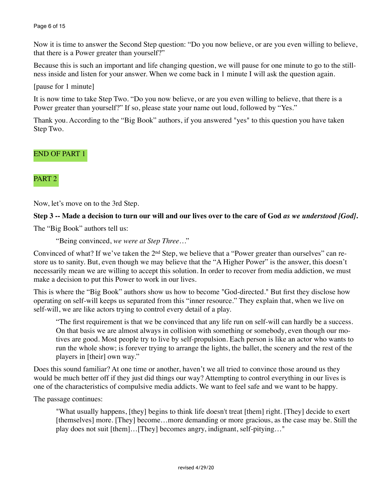Now it is time to answer the Second Step question: "Do you now believe, or are you even willing to believe, that there is a Power greater than yourself?"

Because this is such an important and life changing question, we will pause for one minute to go to the stillness inside and listen for your answer. When we come back in 1 minute I will ask the question again.

[pause for 1 minute]

It is now time to take Step Two. "Do you now believe, or are you even willing to believe, that there is a Power greater than yourself?" If so, please state your name out loud, followed by "Yes."

Thank you. According to the "Big Book" authors, if you answered "yes" to this question you have taken Step Two.

## END OF PART 1

## PART 2

Now, let's move on to the 3rd Step.

### **Step 3 -- Made a decision to turn our will and our lives over to the care of God** *as we understood [God]***.**

The "Big Book" authors tell us:

"Being convinced, *we were at Step Three…*"

Convinced of what? If we've taken the 2nd Step, we believe that a "Power greater than ourselves" can restore us to sanity. But, even though we may believe that the "A Higher Power" is the answer, this doesn't necessarily mean we are willing to accept this solution. In order to recover from media addiction, we must make a decision to put this Power to work in our lives.

This is where the "Big Book" authors show us how to become "God-directed." But first they disclose how operating on self-will keeps us separated from this "inner resource." They explain that, when we live on self-will, we are like actors trying to control every detail of a play.

"The first requirement is that we be convinced that any life run on self-will can hardly be a success. On that basis we are almost always in collision with something or somebody, even though our motives are good. Most people try to live by self-propulsion. Each person is like an actor who wants to run the whole show; is forever trying to arrange the lights, the ballet, the scenery and the rest of the players in [their] own way."

Does this sound familiar? At one time or another, haven't we all tried to convince those around us they would be much better off if they just did things our way? Attempting to control everything in our lives is one of the characteristics of compulsive media addicts. We want to feel safe and we want to be happy.

The passage continues:

"What usually happens, [they] begins to think life doesn't treat [them] right. [They] decide to exert [themselves] more. [They] become...more demanding or more gracious, as the case may be. Still the play does not suit [them]…[They] becomes angry, indignant, self-pitying…"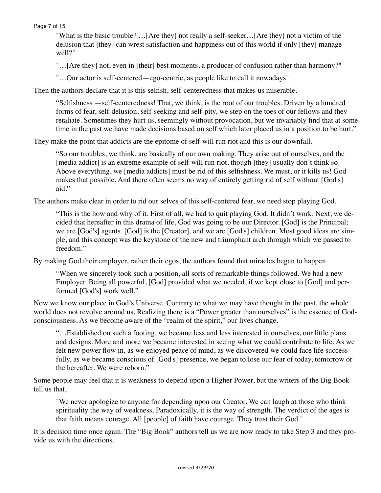#### Page 7 of 15

"What is the basic trouble? …[Are they] not really a self-seeker…[Are they] not a victim of the delusion that [they] can wrest satisfaction and happiness out of this world if only [they] manage well?"

"…[Are they] not, even in [their] best moments, a producer of confusion rather than harmony?"

"…Our actor is self-centered—ego-centric, as people like to call it nowadays"

Then the authors declare that it is this selfish, self-centeredness that makes us miserable.

"Selfishness —self-centeredness! That, we think, is the root of our troubles. Driven by a hundred forms of fear, self-delusion, self-seeking and self-pity, we step on the toes of our fellows and they retaliate. Sometimes they hurt us, seemingly without provocation, but we invariably find that at some time in the past we have made decisions based on self which later placed us in a position to be hurt."

They make the point that addicts are the epitome of self-will run riot and this is our downfall.

"So our troubles, we think, are basically of our own making. They arise out of ourselves, and the [media addict] is an extreme example of self-will run riot, though [they] usually don't think so. Above everything, we [media addicts] must be rid of this selfishness. We must, or it kills us! God makes that possible. And there often seems no way of entirely getting rid of self without [God's] aid."

The authors make clear in order to rid our selves of this self-centered fear, we need stop playing God.

"This is the how and why of it. First of all, we had to quit playing God. It didn't work. Next, we decided that hereafter in this drama of life, God was going to be our Director. [God] is the Principal; we are [God's] agents. [God] is the [Creator], and we are [God's] children. Most good ideas are simple, and this concept was the keystone of the new and triumphant arch through which we passed to freedom."

By making God their employer, rather their egos, the authors found that miracles began to happen.

"When we sincerely took such a position, all sorts of remarkable things followed. We had a new Employer. Being all powerful, [God] provided what we needed, if we kept close to [God] and performed [God's] work well."

Now we know our place in God's Universe. Contrary to what we may have thought in the past, the whole world does not revolve around us. Realizing there is a "Power greater than ourselves" is the essence of Godconsciousness. As we become aware of the "realm of the spirit," our lives change.

"…Established on such a footing, we became less and less interested in ourselves, our little plans and designs. More and more we became interested in seeing what we could contribute to life. As we felt new power flow in, as we enjoyed peace of mind, as we discovered we could face life successfully, as we became conscious of [God's] presence, we began to lose our fear of today, tomorrow or the hereafter. We were reborn."

Some people may feel that it is weakness to depend upon a Higher Power, but the writers of the Big Book tell us that,

"We never apologize to anyone for depending upon our Creator. We can laugh at those who think spirituality the way of weakness. Paradoxically, it is the way of strength. The verdict of the ages is that faith means courage. All [people] of faith have courage. They trust their God."

It is decision time once again. The "Big Book" authors tell us we are now ready to take Step 3 and they provide us with the directions.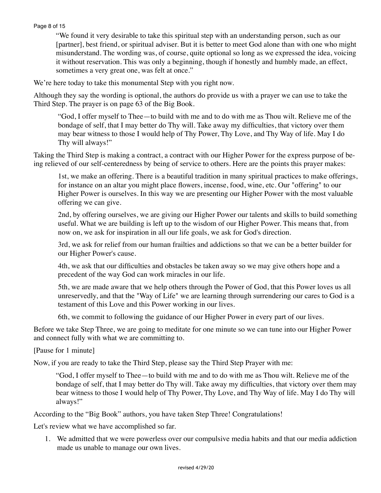#### Page 8 of 15

"We found it very desirable to take this spiritual step with an understanding person, such as our [partner], best friend, or spiritual adviser. But it is better to meet God alone than with one who might misunderstand. The wording was, of course, quite optional so long as we expressed the idea, voicing it without reservation. This was only a beginning, though if honestly and humbly made, an effect, sometimes a very great one, was felt at once."

We're here today to take this monumental Step with you right now.

Although they say the wording is optional, the authors do provide us with a prayer we can use to take the Third Step. The prayer is on page 63 of the Big Book.

"God, I offer myself to Thee—to build with me and to do with me as Thou wilt. Relieve me of the bondage of self, that I may better do Thy will. Take away my difficulties, that victory over them may bear witness to those I would help of Thy Power, Thy Love, and Thy Way of life. May I do Thy will always!"

Taking the Third Step is making a contract, a contract with our Higher Power for the express purpose of being relieved of our self-centeredness by being of service to others. Here are the points this prayer makes:

1st, we make an offering. There is a beautiful tradition in many spiritual practices to make offerings, for instance on an altar you might place flowers, incense, food, wine, etc. Our "offering" to our Higher Power is ourselves. In this way we are presenting our Higher Power with the most valuable offering we can give.

2nd, by offering ourselves, we are giving our Higher Power our talents and skills to build something useful. What we are building is left up to the wisdom of our Higher Power. This means that, from now on, we ask for inspiration in all our life goals, we ask for God's direction.

3rd, we ask for relief from our human frailties and addictions so that we can be a better builder for our Higher Power's cause.

4th, we ask that our difficulties and obstacles be taken away so we may give others hope and a precedent of the way God can work miracles in our life.

5th, we are made aware that we help others through the Power of God, that this Power loves us all unreservedly, and that the "Way of Life" we are learning through surrendering our cares to God is a testament of this Love and this Power working in our lives.

6th, we commit to following the guidance of our Higher Power in every part of our lives.

Before we take Step Three, we are going to meditate for one minute so we can tune into our Higher Power and connect fully with what we are committing to.

[Pause for 1 minute]

Now, if you are ready to take the Third Step, please say the Third Step Prayer with me:

"God, I offer myself to Thee—to build with me and to do with me as Thou wilt. Relieve me of the bondage of self, that I may better do Thy will. Take away my difficulties, that victory over them may bear witness to those I would help of Thy Power, Thy Love, and Thy Way of life. May I do Thy will always!"

According to the "Big Book" authors, you have taken Step Three! Congratulations!

Let's review what we have accomplished so far.

1. We admitted that we were powerless over our compulsive media habits and that our media addiction made us unable to manage our own lives.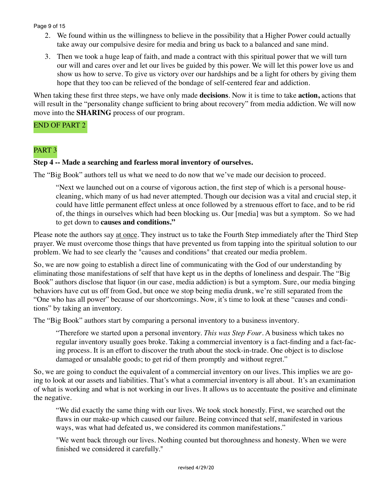#### Page 9 of 15

- 2. We found within us the willingness to believe in the possibility that a Higher Power could actually take away our compulsive desire for media and bring us back to a balanced and sane mind.
- 3. Then we took a huge leap of faith, and made a contract with this spiritual power that we will turn our will and cares over and let our lives be guided by this power. We will let this power love us and show us how to serve. To give us victory over our hardships and be a light for others by giving them hope that they too can be relieved of the bondage of self-centered fear and addiction.

When taking these first three steps, we have only made **decisions**. Now it is time to take **action,** actions that will result in the "personality change sufficient to bring about recovery" from media addiction. We will now move into the **SHARING** process of our program.

## END OF PART 2

## PART 3

### **Step 4 -- Made a searching and fearless moral inventory of ourselves.**

The "Big Book" authors tell us what we need to do now that we've made our decision to proceed.

"Next we launched out on a course of vigorous action, the first step of which is a personal housecleaning, which many of us had never attempted. Though our decision was a vital and crucial step, it could have little permanent effect unless at once followed by a strenuous effort to face, and to be rid of, the things in ourselves which had been blocking us. Our [media] was but a symptom. So we had to get down to **causes and conditions."**

Please note the authors say at once. They instruct us to take the Fourth Step immediately after the Third Step prayer. We must overcome those things that have prevented us from tapping into the spiritual solution to our problem. We had to see clearly the "causes and conditions" that created our media problem.

So, we are now going to establish a direct line of communicating with the God of our understanding by eliminating those manifestations of self that have kept us in the depths of loneliness and despair. The "Big Book" authors disclose that liquor (in our case, media addiction) is but a symptom. Sure, our media binging behaviors have cut us off from God, but once we stop being media drunk, we're still separated from the "One who has all power" because of our shortcomings. Now, it's time to look at these "causes and conditions" by taking an inventory.

The "Big Book" authors start by comparing a personal inventory to a business inventory.

"Therefore we started upon a personal inventory. *This was Step Four*. A business which takes no regular inventory usually goes broke. Taking a commercial inventory is a fact-finding and a fact-facing process. It is an effort to discover the truth about the stock-in-trade. One object is to disclose damaged or unsalable goods; to get rid of them promptly and without regret."

So, we are going to conduct the equivalent of a commercial inventory on our lives. This implies we are going to look at our assets and liabilities. That's what a commercial inventory is all about. It's an examination of what is working and what is not working in our lives. It allows us to accentuate the positive and eliminate the negative.

"We did exactly the same thing with our lives. We took stock honestly. First, we searched out the flaws in our make-up which caused our failure. Being convinced that self, manifested in various ways, was what had defeated us, we considered its common manifestations."

"We went back through our lives. Nothing counted but thoroughness and honesty. When we were finished we considered it carefully."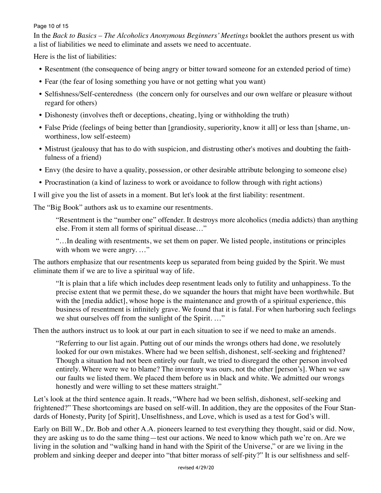#### Page 10 of 15

In the *Back to Basics – The Alcoholics Anonymous Beginners' Meetings* booklet the authors present us with a list of liabilities we need to eliminate and assets we need to accentuate.

Here is the list of liabilities:

- Resentment (the consequence of being angry or bitter toward someone for an extended period of time)
- Fear (the fear of losing something you have or not getting what you want)
- Selfishness/Self-centeredness (the concern only for ourselves and our own welfare or pleasure without regard for others)
- Dishonesty (involves theft or deceptions, cheating, lying or withholding the truth)
- False Pride (feelings of being better than [grandiosity, superiority, know it all] or less than [shame, unworthiness, low self-esteem)
- Mistrust (jealousy that has to do with suspicion, and distrusting other's motives and doubting the faithfulness of a friend)
- Envy (the desire to have a quality, possession, or other desirable attribute belonging to someone else)
- Procrastination (a kind of laziness to work or avoidance to follow through with right actions)

I will give you the list of assets in a moment. But let's look at the first liability: resentment.

The "Big Book" authors ask us to examine our resentments.

"Resentment is the "number one" offender. It destroys more alcoholics (media addicts) than anything else. From it stem all forms of spiritual disease…"

"…In dealing with resentments, we set them on paper. We listed people, institutions or principles with whom we were angry...."

The authors emphasize that our resentments keep us separated from being guided by the Spirit. We must eliminate them if we are to live a spiritual way of life.

"It is plain that a life which includes deep resentment leads only to futility and unhappiness. To the precise extent that we permit these, do we squander the hours that might have been worthwhile. But with the [media addict], whose hope is the maintenance and growth of a spiritual experience, this business of resentment is infinitely grave. We found that it is fatal. For when harboring such feelings we shut ourselves off from the sunlight of the Spirit. ..."

Then the authors instruct us to look at our part in each situation to see if we need to make an amends.

"Referring to our list again. Putting out of our minds the wrongs others had done, we resolutely looked for our own mistakes. Where had we been selfish, dishonest, self-seeking and frightened? Though a situation had not been entirely our fault, we tried to disregard the other person involved entirely. Where were we to blame? The inventory was ours, not the other [person's]. When we saw our faults we listed them. We placed them before us in black and white. We admitted our wrongs honestly and were willing to set these matters straight."

Let's look at the third sentence again. It reads, "Where had we been selfish, dishonest, self-seeking and frightened?" These shortcomings are based on self-will. In addition, they are the opposites of the Four Standards of Honesty, Purity [of Spirit], Unselfishness, and Love, which is used as a test for God's will.

Early on Bill W., Dr. Bob and other A.A. pioneers learned to test everything they thought, said or did. Now, they are asking us to do the same thing—test our actions. We need to know which path we're on. Are we living in the solution and "walking hand in hand with the Spirit of the Universe," or are we living in the problem and sinking deeper and deeper into "that bitter morass of self-pity?" It is our selfishness and self-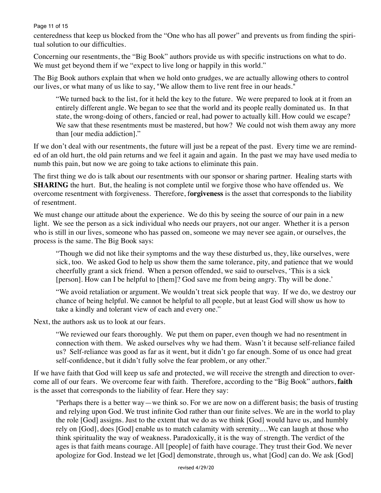#### Page 11 of 15

centeredness that keep us blocked from the "One who has all power" and prevents us from finding the spiritual solution to our difficulties.

Concerning our resentments, the "Big Book" authors provide us with specific instructions on what to do. We must get beyond them if we "expect to live long or happily in this world."

The Big Book authors explain that when we hold onto grudges, we are actually allowing others to control our lives, or what many of us like to say, "We allow them to live rent free in our heads."

"We turned back to the list, for it held the key to the future. We were prepared to look at it from an entirely different angle. We began to see that the world and its people really dominated us. In that state, the wrong-doing of others, fancied or real, had power to actually kill. How could we escape? We saw that these resentments must be mastered, but how? We could not wish them away any more than [our media addiction]."

If we don't deal with our resentments, the future will just be a repeat of the past. Every time we are reminded of an old hurt, the old pain returns and we feel it again and again. In the past we may have used media to numb this pain, but now we are going to take actions to eliminate this pain.

The first thing we do is talk about our resentments with our sponsor or sharing partner. Healing starts with **SHARING** the hurt. But, the healing is not complete until we forgive those who have offended us. We overcome resentment with forgiveness. Therefore, f**orgiveness** is the asset that corresponds to the liability of resentment.

We must change our attitude about the experience. We do this by seeing the source of our pain in a new light. We see the person as a sick individual who needs our prayers, not our anger. Whether it is a person who is still in our lives, someone who has passed on, someone we may never see again, or ourselves, the process is the same. The Big Book says:

"Though we did not like their symptoms and the way these disturbed us, they, like ourselves, were sick, too. We asked God to help us show them the same tolerance, pity, and patience that we would cheerfully grant a sick friend. When a person offended, we said to ourselves, 'This is a sick [person]. How can I be helpful to [them]? God save me from being angry. Thy will be done.'

"We avoid retaliation or argument. We wouldn't treat sick people that way. If we do, we destroy our chance of being helpful. We cannot be helpful to all people, but at least God will show us how to take a kindly and tolerant view of each and every one."

Next, the authors ask us to look at our fears.

"We reviewed our fears thoroughly. We put them on paper, even though we had no resentment in connection with them. We asked ourselves why we had them. Wasn't it because self-reliance failed us? Self-reliance was good as far as it went, but it didn't go far enough. Some of us once had great self-confidence, but it didn't fully solve the fear problem, or any other."

If we have faith that God will keep us safe and protected, we will receive the strength and direction to overcome all of our fears. We overcome fear with faith. Therefore, according to the "Big Book" authors, **faith** is the asset that corresponds to the liability of fear. Here they say:

"Perhaps there is a better way—we think so. For we are now on a different basis; the basis of trusting and relying upon God. We trust infinite God rather than our finite selves. We are in the world to play the role [God] assigns. Just to the extent that we do as we think [God] would have us, and humbly rely on [God], does [God] enable us to match calamity with serenity.…We can laugh at those who think spirituality the way of weakness. Paradoxically, it is the way of strength. The verdict of the ages is that faith means courage. All [people] of faith have courage. They trust their God. We never apologize for God. Instead we let [God] demonstrate, through us, what [God] can do. We ask [God]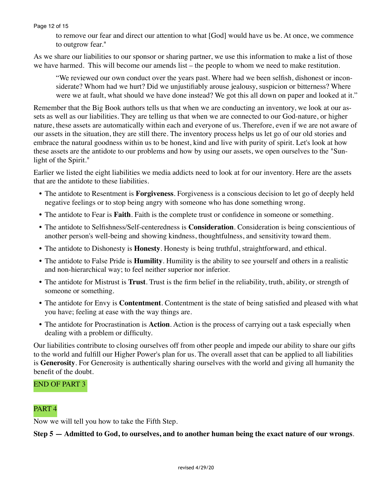Page 12 of 15

to remove our fear and direct our attention to what [God] would have us be. At once, we commence to outgrow fear."

As we share our liabilities to our sponsor or sharing partner, we use this information to make a list of those we have harmed. This will become our amends list – the people to whom we need to make restitution.

"We reviewed our own conduct over the years past. Where had we been selfish, dishonest or inconsiderate? Whom had we hurt? Did we unjustifiably arouse jealousy, suspicion or bitterness? Where were we at fault, what should we have done instead? We got this all down on paper and looked at it."

Remember that the Big Book authors tells us that when we are conducting an inventory, we look at our assets as well as our liabilities. They are telling us that when we are connected to our God-nature, or higher nature, these assets are automatically within each and everyone of us. Therefore, even if we are not aware of our assets in the situation, they are still there. The inventory process helps us let go of our old stories and embrace the natural goodness within us to be honest, kind and live with purity of spirit. Let's look at how these assets are the antidote to our problems and how by using our assets, we open ourselves to the "Sunlight of the Spirit."

Earlier we listed the eight liabilities we media addicts need to look at for our inventory. Here are the assets that are the antidote to these liabilities.

- The antidote to Resentment is **Forgiveness**. Forgiveness is a conscious decision to let go of deeply held negative feelings or to stop being angry with someone who has done something wrong.
- The antidote to Fear is **Faith**. Faith is the complete trust or confidence in someone or something.
- The antidote to Selfishness/Self-centeredness is **Consideration**. Consideration is being conscientious of another person's well-being and showing kindness, thoughtfulness, and sensitivity toward them.
- The antidote to Dishonesty is **Honesty**. Honesty is being truthful, straightforward, and ethical.
- The antidote to False Pride is **Humility**. Humility is the ability to see yourself and others in a realistic and non-hierarchical way; to feel neither superior nor inferior.
- The antidote for Mistrust is **Trust**. Trust is the firm belief in the reliability, truth, ability, or strength of someone or something.
- The antidote for Envy is **Contentment**. Contentment is the state of being satisfied and pleased with what you have; feeling at ease with the way things are.
- The antidote for Procrastination is **Action**. Action is the process of carrying out a task especially when dealing with a problem or difficulty.

Our liabilities contribute to closing ourselves off from other people and impede our ability to share our gifts to the world and fulfill our Higher Power's plan for us. The overall asset that can be applied to all liabilities is **Generosity**. For Generosity is authentically sharing ourselves with the world and giving all humanity the benefit of the doubt.

## END OF PART 3

## PART 4

Now we will tell you how to take the Fifth Step.

**Step 5 — Admitted to God, to ourselves, and to another human being the exact nature of our wrongs**.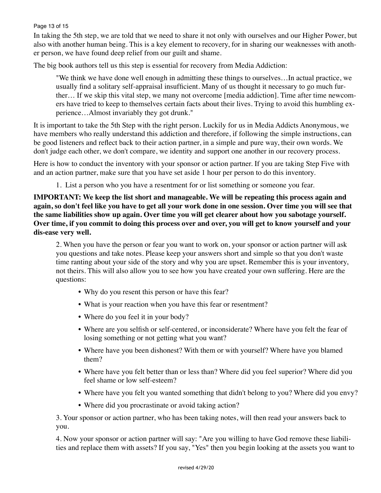#### Page 13 of 15

In taking the 5th step, we are told that we need to share it not only with ourselves and our Higher Power, but also with another human being. This is a key element to recovery, for in sharing our weaknesses with another person, we have found deep relief from our guilt and shame.

The big book authors tell us this step is essential for recovery from Media Addiction:

"We think we have done well enough in admitting these things to ourselves…In actual practice, we usually find a solitary self-appraisal insufficient. Many of us thought it necessary to go much further… If we skip this vital step, we many not overcome [media addiction]. Time after time newcomers have tried to keep to themselves certain facts about their lives. Trying to avoid this humbling experience…Almost invariably they got drunk."

It is important to take the 5th Step with the right person. Luckily for us in Media Addicts Anonymous, we have members who really understand this addiction and therefore, if following the simple instructions, can be good listeners and reflect back to their action partner, in a simple and pure way, their own words. We don't judge each other, we don't compare, we identity and support one another in our recovery process.

Here is how to conduct the inventory with your sponsor or action partner. If you are taking Step Five with and an action partner, make sure that you have set aside 1 hour per person to do this inventory.

1. List a person who you have a resentment for or list something or someone you fear.

**IMPORTANT: We keep the list short and manageable. We will be repeating this process again and again, so don't feel like you have to get all your work done in one session. Over time you will see that the same liabilities show up again. Over time you will get clearer about how you sabotage yourself. Over time, if you commit to doing this process over and over, you will get to know yourself and your dis-ease very well.**

2. When you have the person or fear you want to work on, your sponsor or action partner will ask you questions and take notes. Please keep your answers short and simple so that you don't waste time ranting about your side of the story and why you are upset. Remember this is your inventory, not theirs. This will also allow you to see how you have created your own suffering. Here are the questions:

- Why do you resent this person or have this fear?
- What is your reaction when you have this fear or resentment?
- Where do you feel it in your body?
- Where are you selfish or self-centered, or inconsiderate? Where have you felt the fear of losing something or not getting what you want?
- Where have you been dishonest? With them or with yourself? Where have you blamed them?
- Where have you felt better than or less than? Where did you feel superior? Where did you feel shame or low self-esteem?
- Where have you felt you wanted something that didn't belong to you? Where did you envy?
- Where did you procrastinate or avoid taking action?

3. Your sponsor or action partner, who has been taking notes, will then read your answers back to you.

4. Now your sponsor or action partner will say: "Are you willing to have God remove these liabilities and replace them with assets? If you say, "Yes" then you begin looking at the assets you want to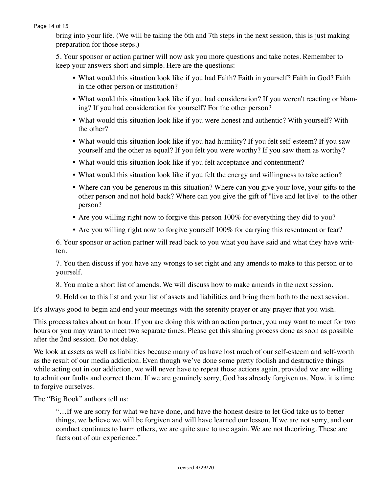bring into your life. (We will be taking the 6th and 7th steps in the next session, this is just making preparation for those steps.)

5. Your sponsor or action partner will now ask you more questions and take notes. Remember to keep your answers short and simple. Here are the questions:

- What would this situation look like if you had Faith? Faith in yourself? Faith in God? Faith in the other person or institution?
- What would this situation look like if you had consideration? If you weren't reacting or blaming? If you had consideration for yourself? For the other person?
- What would this situation look like if you were honest and authentic? With yourself? With the other?
- What would this situation look like if you had humility? If you felt self-esteem? If you saw yourself and the other as equal? If you felt you were worthy? If you saw them as worthy?
- What would this situation look like if you felt acceptance and contentment?
- What would this situation look like if you felt the energy and willingness to take action?
- Where can you be generous in this situation? Where can you give your love, your gifts to the other person and not hold back? Where can you give the gift of "live and let live" to the other person?
- Are you willing right now to forgive this person 100% for everything they did to you?
- Are you willing right now to forgive yourself 100% for carrying this resentment or fear?

6. Your sponsor or action partner will read back to you what you have said and what they have written.

7. You then discuss if you have any wrongs to set right and any amends to make to this person or to yourself.

- 8. You make a short list of amends. We will discuss how to make amends in the next session.
- 9. Hold on to this list and your list of assets and liabilities and bring them both to the next session.

It's always good to begin and end your meetings with the serenity prayer or any prayer that you wish.

This process takes about an hour. If you are doing this with an action partner, you may want to meet for two hours or you may want to meet two separate times. Please get this sharing process done as soon as possible after the 2nd session. Do not delay.

We look at assets as well as liabilities because many of us have lost much of our self-esteem and self-worth as the result of our media addiction. Even though we've done some pretty foolish and destructive things while acting out in our addiction, we will never have to repeat those actions again, provided we are willing to admit our faults and correct them. If we are genuinely sorry, God has already forgiven us. Now, it is time to forgive ourselves.

The "Big Book" authors tell us:

"…If we are sorry for what we have done, and have the honest desire to let God take us to better things, we believe we will be forgiven and will have learned our lesson. If we are not sorry, and our conduct continues to harm others, we are quite sure to use again. We are not theorizing. These are facts out of our experience."